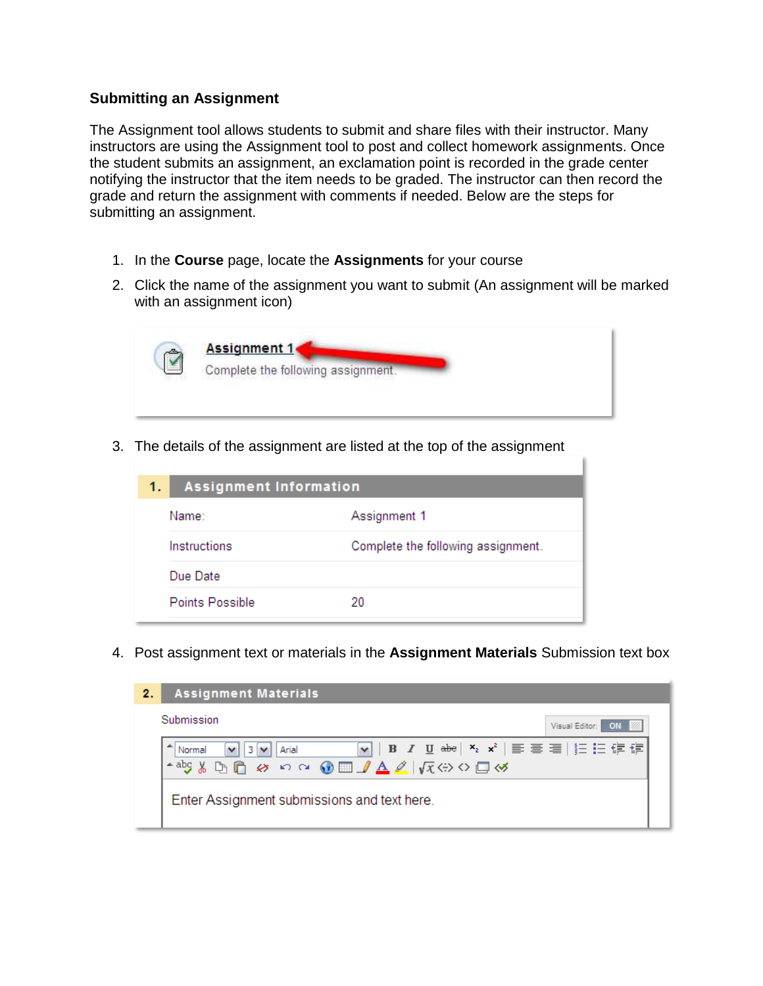## **Submitting an Assignment**

The Assignment tool allows students to submit and share files with their instructor. Many instructors are using the Assignment tool to post and collect homework assignments. Once the student submits an assignment, an exclamation point is recorded in the grade center notifying the instructor that the item needs to be graded. The instructor can then record the grade and return the assignment with comments if needed. Below are the steps for submitting an assignment.

- 1. In the **Course** page, locate the **Assignments** for your course
- 2. Click the name of the assignment you want to submit (An assignment will be marked with an assignment icon)

| <b>Assignment 1</b>                |
|------------------------------------|
| Complete the following assignment. |
|                                    |
|                                    |

3. The details of the assignment are listed at the top of the assignment

| 1. | <b>Assignment Information</b> |                                    |
|----|-------------------------------|------------------------------------|
|    | Name:                         | Assignment 1                       |
|    | Instructions                  | Complete the following assignment. |
|    | Due Date                      |                                    |
|    | Points Possible               | 20                                 |

4. Post assignment text or materials in the **Assignment Materials** Submission text box

| 2.7 | <b>Assignment Materials</b>                                                                                                                                                                                                                                                                                                                                                   |  |  |
|-----|-------------------------------------------------------------------------------------------------------------------------------------------------------------------------------------------------------------------------------------------------------------------------------------------------------------------------------------------------------------------------------|--|--|
|     | Submission<br>Visual Editor: ON                                                                                                                                                                                                                                                                                                                                               |  |  |
|     | $\boxed{\mathbf{v}}$   B $I$ $\underline{\mathbf{U}}$ abe  $\mathbf{x}_i$ $\mathbf{x}^i$   $\equiv$ $\equiv$ $\equiv$   $\succeq$   $\succeq$ $\succeq$ $\succeq$ $\succeq$<br>Arial<br>$\vee$ 3 $\vee$<br>Normal<br>$A$ abs $\mathcal{Y} \oplus \mathcal{C}$ $\otimes$ $\circ$ $\circ$ $\circ$ $\circ$ $\Box$ $A \neq  \sqrt{x} \leftrightarrow \circ \Box \rightsquigarrow$ |  |  |
|     | Enter Assignment submissions and text here.                                                                                                                                                                                                                                                                                                                                   |  |  |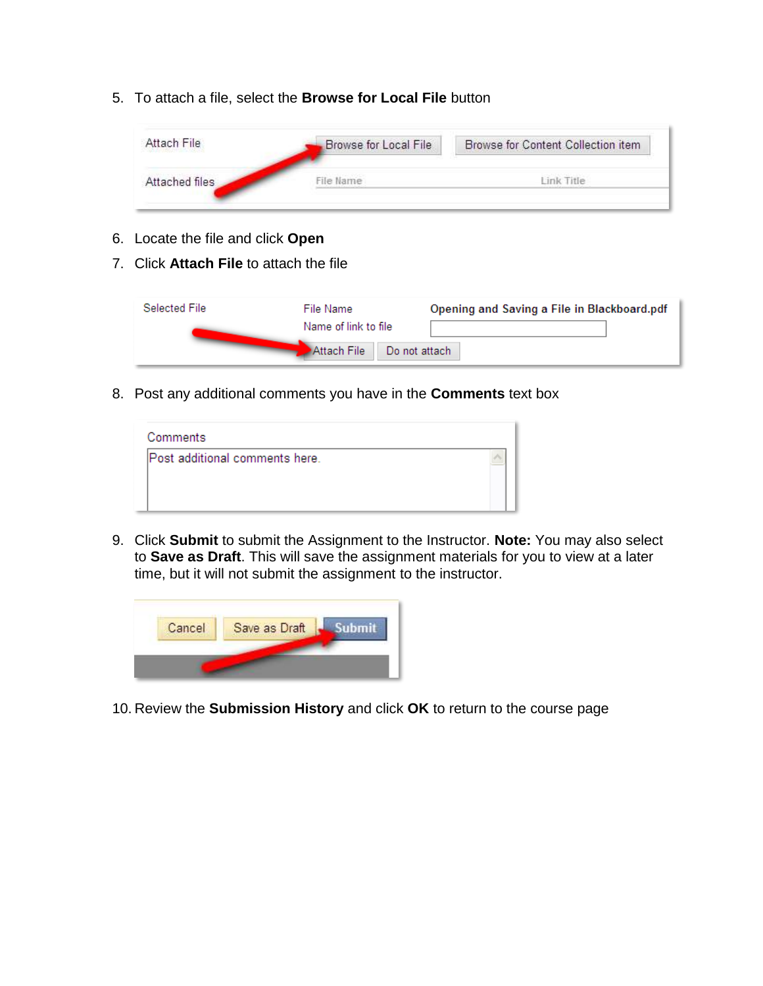5. To attach a file, select the **Browse for Local File** button

| Attach File<br>The Post Report The Post of A | Browse for Local File | <b>Browse for Content Collection item</b> |
|----------------------------------------------|-----------------------|-------------------------------------------|
| Attached files                               | File Name             | Link Title                                |
|                                              |                       |                                           |

- 6. Locate the file and click **Open**
- 7. Click **Attach File** to attach the file

| Selected File | File Name                | Opening and Saving a File in Blackboard.pdf |
|---------------|--------------------------|---------------------------------------------|
|               | Name of link to file     |                                             |
|               | Attach File Donot attach |                                             |

8. Post any additional comments you have in the **Comments** text box

| Comments                       |  |
|--------------------------------|--|
| Post additional comments here. |  |
|                                |  |
|                                |  |

9. Click **Submit** to submit the Assignment to the Instructor. **Note:** You may also select to **Save as Draft**. This will save the assignment materials for you to view at a later time, but it will not submit the assignment to the instructor.



10. Review the **Submission History** and click **OK** to return to the course page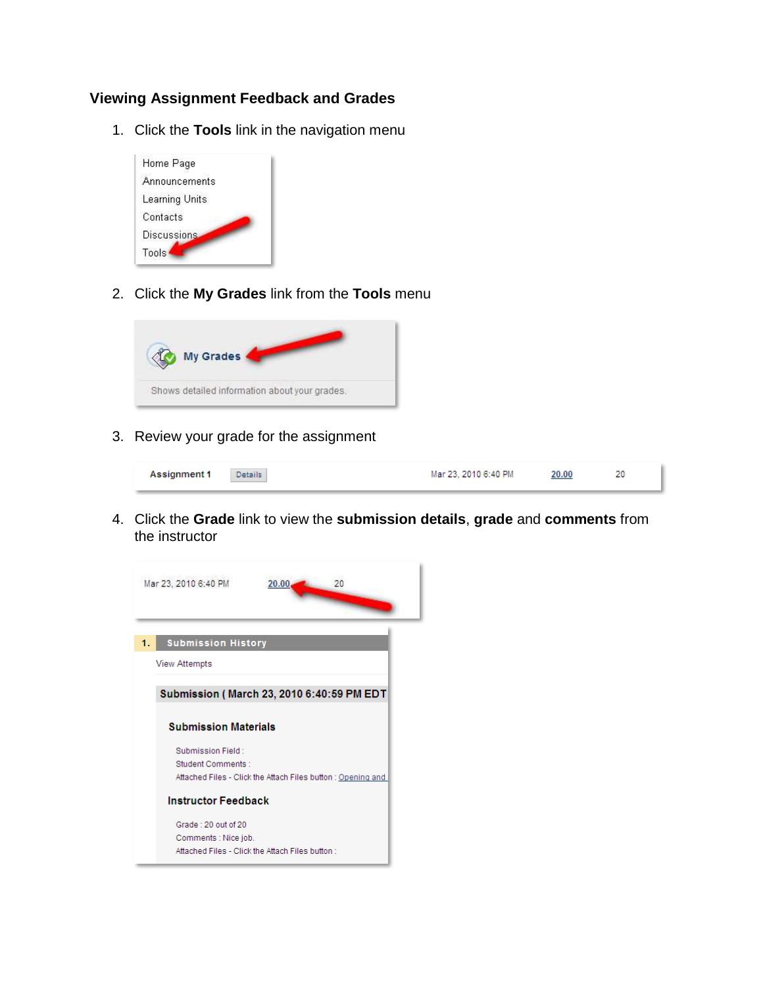## **Viewing Assignment Feedback and Grades**

1. Click the **Tools** link in the navigation menu



2. Click the **My Grades** link from the **Tools** menu



3. Review your grade for the assignment



4. Click the **Grade** link to view the **submission details**, **grade** and **comments** from the instructor